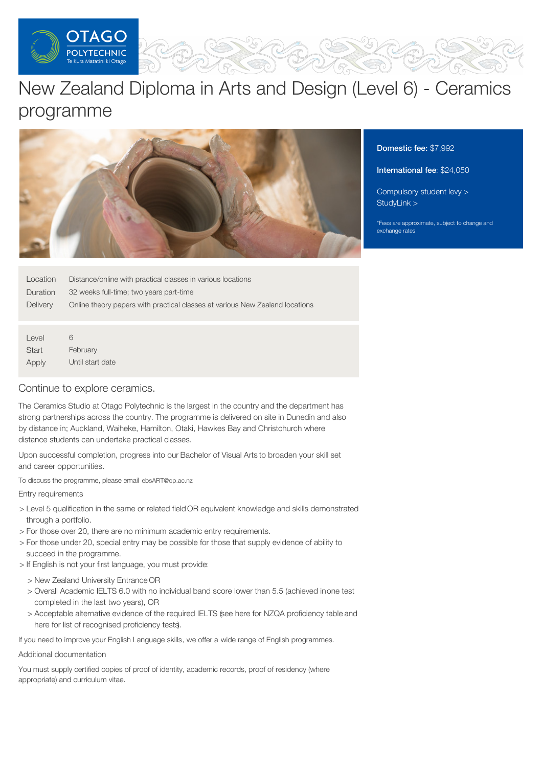

# New Zealand Diploma in Arts and Design (Level 6) - Ceramics programme



Domestic fee: \$7,992

# International fee: \$24,050

[Compulsory](https://online.op.ac.nz/students/important-information/student-services-levy/) student levy > [StudyLink](https://www.studylink.govt.nz/) >

\*Fees are approximate, subject to change and exchange rates

| Location | Distance/online with practical classes in various locations                  |
|----------|------------------------------------------------------------------------------|
| Duration | 32 weeks full-time; two years part-time                                      |
| Delivery | Online theory papers with practical classes at various New Zealand locations |

Level **Start** Apply 6 February Until start date

# Continue to explore ceramics.

The Ceramics Studio at Otago Polytechnic is the largest in the country and the department has strong partnerships across the country. The programme is delivered on site in Dunedin and also by distance in; Auckland, Waiheke, Hamilton, Otaki, Hawkes Bay and Christchurch where distance students can undertake practical classes.

Upon successful completion, progress into our Bachelor of Visual Arts to broaden your skill set and career opportunities.

To discuss the programme, please email ebsART@op.ac.nz

Entry requirements

- > Level 5 qualification in the same or related field OR equivalent knowledge and skills demonstrated through a portfolio.
- > For those over 20, there are no minimum academic entry requirements.
- > For those under 20, special entry may be possible for those that supply evidence of ability to succeed in the programme.
- > If English is not your first language, you must provide:
	- > New Zealand University Entrance OR
	- > Overall Academic IELTS 6.0 with no individual band score lower than 5.5 (achieved inone test completed in the last two years), OR
	- > Acceptable alternative evidence of the required IELTS (see here for NZQA proficiency table and here for list of recognised proficiency tests).

If you need to improve your English Language skills, we offer a wide range of English programmes.

Additional documentation

You must supply certified copies of proof of identity, academic records, proof of residency (where appropriate) and curriculum vitae.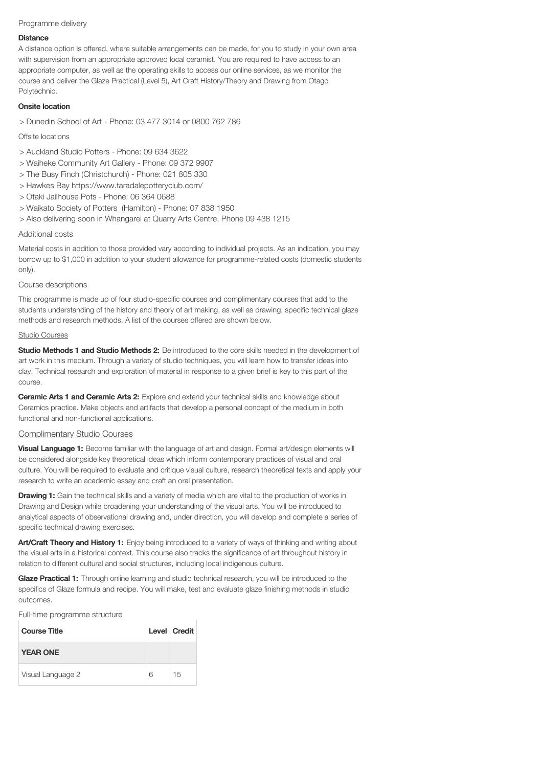## Programme delivery

#### **Distance**

A distance option is offered, where suitable arrangements can be made, for you to study in your own area with supervision from an appropriate approved local ceramist. You are required to have access to an appropriate computer, as well as the operating skills to access our online services, as we monitor the course and deliver the Glaze Practical (Level 5), Art Craft History/Theory and Drawing from Otago Polytechnic.

## Onsite location

> Dunedin School of Art - Phone: 03 477 3014 or 0800 762 786

## Offsite locations

- > Auckland Studio Potters Phone: 09 634 3622
- > Waiheke Community Art Gallery Phone: 09 372 9907
- > The Busy Finch (Christchurch) Phone: 021 805 330
- > Hawkes Bay https://www.taradalepotteryclub.com/
- > Otaki Jailhouse Pots Phone: 06 364 0688
- > Waikato Society of Potters (Hamilton) Phone: 07 838 1950
- > Also delivering soon in Whangarei at Quarry Arts Centre, Phone 09 438 1215

#### Additional costs

Material costs in addition to those provided vary according to individual projects. As an indication, you may borrow up to \$1,000 in addition to your student allowance for programme-related costs (domestic students only).

## Course descriptions

This programme is made up of four studio-specific courses and complimentary courses that add to the students understanding of the history and theory of art making, as well as drawing, specific technical glaze methods and research methods. A list of the courses offered are shown below.

#### Studio Courses

Studio Methods 1 and Studio Methods 2: Be introduced to the core skills needed in the development of art work in this medium. Through a variety of studio techniques, you will learn how to transfer ideas into clay. Technical research and exploration of material in response to a given brief is key to this part of the course.

**Ceramic Arts 1 and Ceramic Arts 2:** Explore and extend your technical skills and knowledge about Ceramics practice. Make objects and artifacts that develop a personal concept of the medium in both functional and non-functional applications.

# Complimentary Studio Courses

Visual Language 1: Become familiar with the language of art and design. Formal art/design elements will be considered alongside key theoretical ideas which inform contemporary practices of visual and oral culture. You will be required to evaluate and critique visual culture, research theoretical texts and apply your research to write an academic essay and craft an oral presentation.

**Drawing 1:** Gain the technical skills and a variety of media which are vital to the production of works in Drawing and Design while broadening your understanding of the visual arts. You will be introduced to analytical aspects of observational drawing and, under direction, you will develop and complete a series of specific technical drawing exercises.

Art/Craft Theory and History 1: Enjoy being introduced to a variety of ways of thinking and writing about the visual arts in a historical context. This course also tracks the significance of art throughout history in relation to different cultural and social structures, including local indigenous culture.

Glaze Practical 1: Through online learning and studio technical research, you will be introduced to the specifics of Glaze formula and recipe. You will make, test and evaluate glaze finishing methods in studio outcomes.

Full-time programme structure

| <b>Course Title</b> |   | Level Credit |
|---------------------|---|--------------|
| <b>YEAR ONE</b>     |   |              |
| Visual Language 2   | հ | 15           |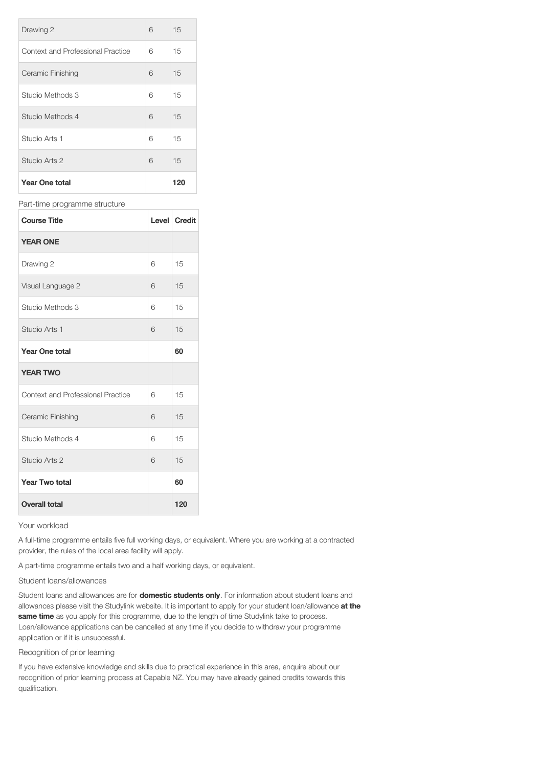| Drawing 2                         | 6 | 15  |
|-----------------------------------|---|-----|
| Context and Professional Practice | 6 | 15  |
| Ceramic Finishing                 | 6 | 15  |
| Studio Methods 3                  | 6 | 15  |
| Studio Methods 4                  | 6 | 15  |
| Studio Arts 1                     | 6 | 15  |
| Studio Arts 2                     | 6 | 15  |
| <b>Year One total</b>             |   | 120 |

#### Part-time programme structure

| <b>Course Title</b>                      |   | Level Credit |
|------------------------------------------|---|--------------|
| <b>YEAR ONE</b>                          |   |              |
| Drawing 2                                | 6 | 15           |
| Visual Language 2                        | 6 | 15           |
| Studio Methods 3                         | 6 | 15           |
| Studio Arts 1                            | 6 | 15           |
| <b>Year One total</b>                    |   | 60           |
| <b>YEAR TWO</b>                          |   |              |
| <b>Context and Professional Practice</b> | 6 | 15           |
| Ceramic Finishing                        | 6 | 15           |
| Studio Methods 4                         | 6 | 15           |
| Studio Arts 2                            | 6 | 15           |
| <b>Year Two total</b>                    |   | 60           |
| <b>Overall total</b>                     |   | 120          |

#### Your workload

A full-time programme entails five full working days, or equivalent. Where you are working at a contracted provider, the rules of the local area facility will apply.

A part-time programme entails two and a half working days, or equivalent.

#### Student loans/allowances

Student loans and allowances are for **domestic students only**. For information about student loans and allowances please visit the Studylink website. It is important to apply for your student loan/allowance at the same time as you apply for this programme, due to the length of time Studylink take to process. Loan/allowance applications can be cancelled at any time if you decide to withdraw your programme application or if it is unsuccessful.

# Recognition of prior learning

If you have extensive knowledge and skills due to practical experience in this area, enquire about our recognition of prior learning process at Capable NZ. You may have already gained credits towards this qualification.